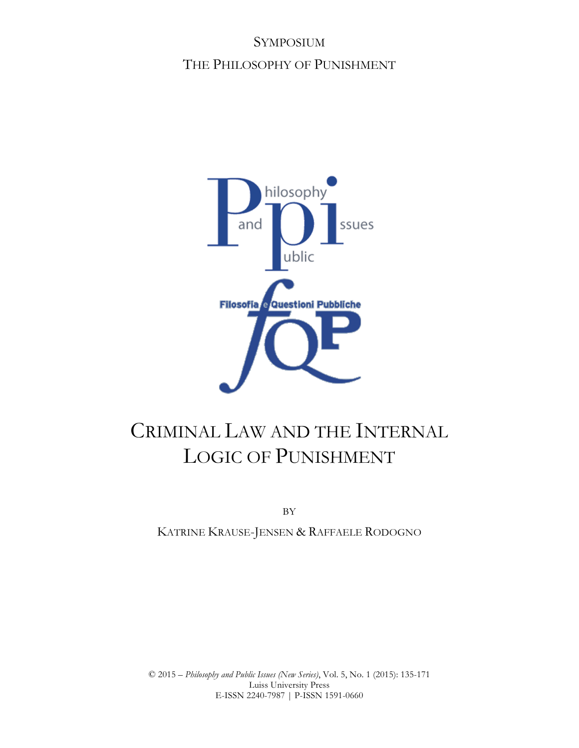## SYMPOSIUM THE PHILOSOPHY OF PUNISHMENT



# CRIMINAL LAW AND THE INTERNAL LOGIC OF PUNISHMENT

BY

KATRINE KRAUSE-JENSEN & RAFFAELE RODOGNO

© 2015 – *Philosophy and Public Issues (New Series)*, Vol. 5, No. 1 (2015): 135-171 Luiss University Press E-ISSN 2240-7987 | P-ISSN 1591-0660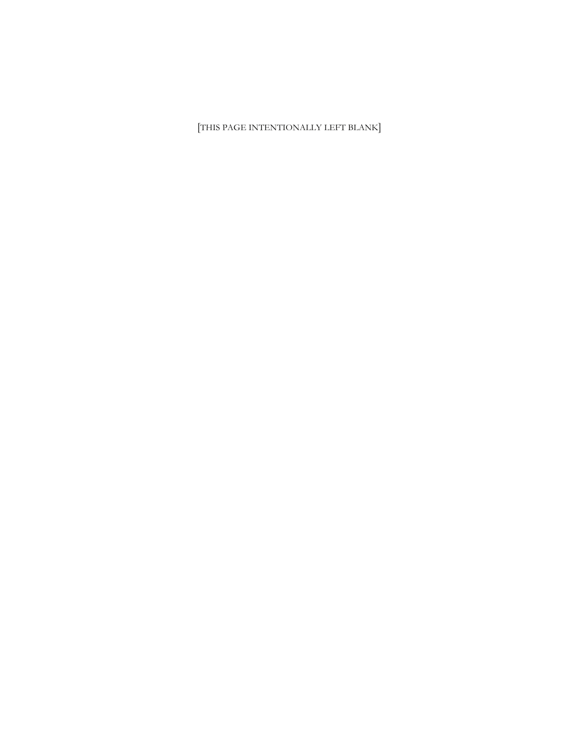[THIS PAGE INTENTIONALLY LEFT BLANK]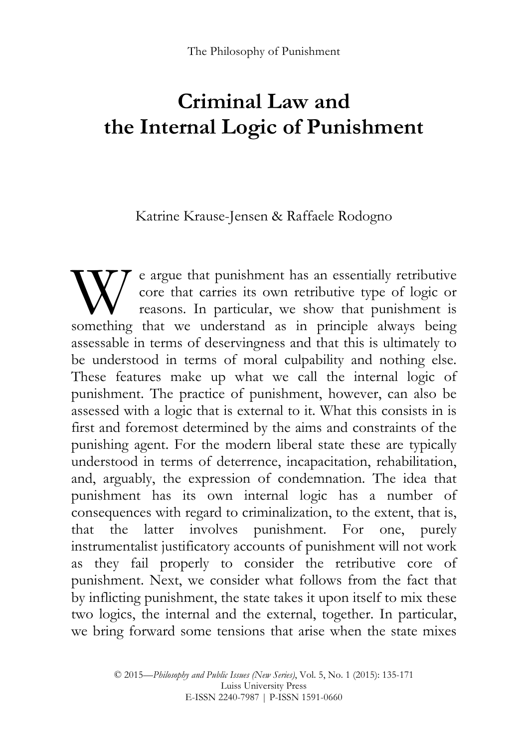### **Criminal Law and the Internal Logic of Punishment**

Katrine Krause-Jensen & Raffaele Rodogno

e argue that punishment has an essentially retributive core that carries its own retributive type of logic or reasons. In particular, we show that punishment is W e argue that punishment has an essentially retributive core that carries its own retributive type of logic or reasons. In particular, we show that punishment is something that we understand as in principle always being assessable in terms of deservingness and that this is ultimately to be understood in terms of moral culpability and nothing else. These features make up what we call the internal logic of punishment. The practice of punishment, however, can also be assessed with a logic that is external to it. What this consists in is first and foremost determined by the aims and constraints of the punishing agent. For the modern liberal state these are typically understood in terms of deterrence, incapacitation, rehabilitation, and, arguably, the expression of condemnation. The idea that punishment has its own internal logic has a number of consequences with regard to criminalization, to the extent, that is, that the latter involves punishment. For one, purely instrumentalist justificatory accounts of punishment will not work as they fail properly to consider the retributive core of punishment. Next, we consider what follows from the fact that by inflicting punishment, the state takes it upon itself to mix these two logics, the internal and the external, together. In particular, we bring forward some tensions that arise when the state mixes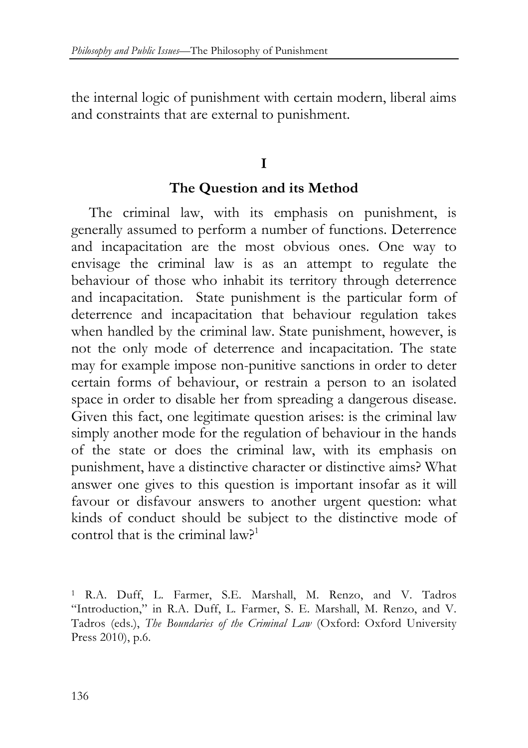the internal logic of punishment with certain modern, liberal aims and constraints that are external to punishment.

#### **I**

#### **The Question and its Method**

The criminal law, with its emphasis on punishment, is generally assumed to perform a number of functions. Deterrence and incapacitation are the most obvious ones. One way to envisage the criminal law is as an attempt to regulate the behaviour of those who inhabit its territory through deterrence and incapacitation. State punishment is the particular form of deterrence and incapacitation that behaviour regulation takes when handled by the criminal law. State punishment, however, is not the only mode of deterrence and incapacitation. The state may for example impose non-punitive sanctions in order to deter certain forms of behaviour, or restrain a person to an isolated space in order to disable her from spreading a dangerous disease. Given this fact, one legitimate question arises: is the criminal law simply another mode for the regulation of behaviour in the hands of the state or does the criminal law, with its emphasis on punishment, have a distinctive character or distinctive aims? What answer one gives to this question is important insofar as it will favour or disfavour answers to another urgent question: what kinds of conduct should be subject to the distinctive mode of control that is the criminal law?<sup>1</sup>

<sup>1</sup> R.A. Duff, L. Farmer, S.E. Marshall, M. Renzo, and V. Tadros "Introduction," in R.A. Duff, L. Farmer, S. E. Marshall, M. Renzo, and V. Tadros (eds.), *The Boundaries of the Criminal Law* (Oxford: Oxford University Press 2010), p.6.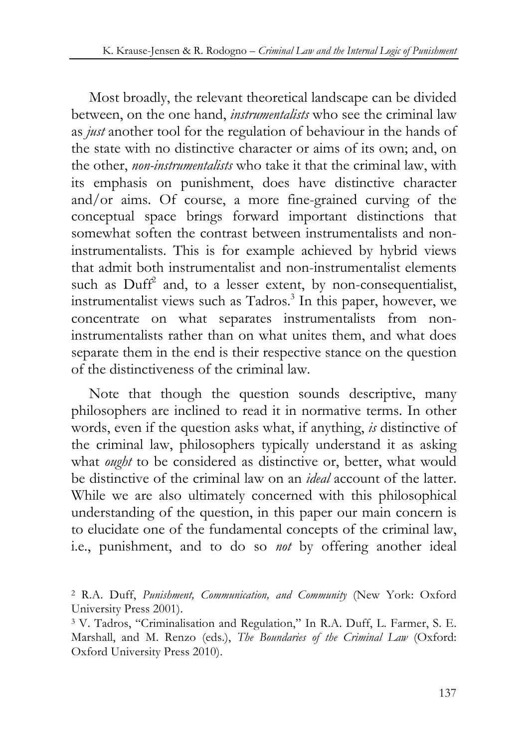Most broadly, the relevant theoretical landscape can be divided between, on the one hand, *instrumentalists* who see the criminal law as *just* another tool for the regulation of behaviour in the hands of the state with no distinctive character or aims of its own; and, on the other, *non-instrumentalists* who take it that the criminal law, with its emphasis on punishment, does have distinctive character and/or aims. Of course, a more fine-grained curving of the conceptual space brings forward important distinctions that somewhat soften the contrast between instrumentalists and noninstrumentalists. This is for example achieved by hybrid views that admit both instrumentalist and non-instrumentalist elements such as  $Duff^2$  and, to a lesser extent, by non-consequentialist, instrumentalist views such as Tadros. <sup>3</sup> In this paper, however, we concentrate on what separates instrumentalists from noninstrumentalists rather than on what unites them, and what does separate them in the end is their respective stance on the question of the distinctiveness of the criminal law.

Note that though the question sounds descriptive, many philosophers are inclined to read it in normative terms. In other words, even if the question asks what, if anything, *is* distinctive of the criminal law, philosophers typically understand it as asking what *ought* to be considered as distinctive or, better, what would be distinctive of the criminal law on an *ideal* account of the latter. While we are also ultimately concerned with this philosophical understanding of the question, in this paper our main concern is to elucidate one of the fundamental concepts of the criminal law, i.e., punishment, and to do so *not* by offering another ideal

<sup>2</sup> R.A. Duff, *Punishment, Communication, and Community* (New York: Oxford University Press 2001).

<sup>3</sup> V. Tadros, "Criminalisation and Regulation," In R.A. Duff, L. Farmer, S. E. Marshall, and M. Renzo (eds.), *The Boundaries of the Criminal Law* (Oxford: Oxford University Press 2010).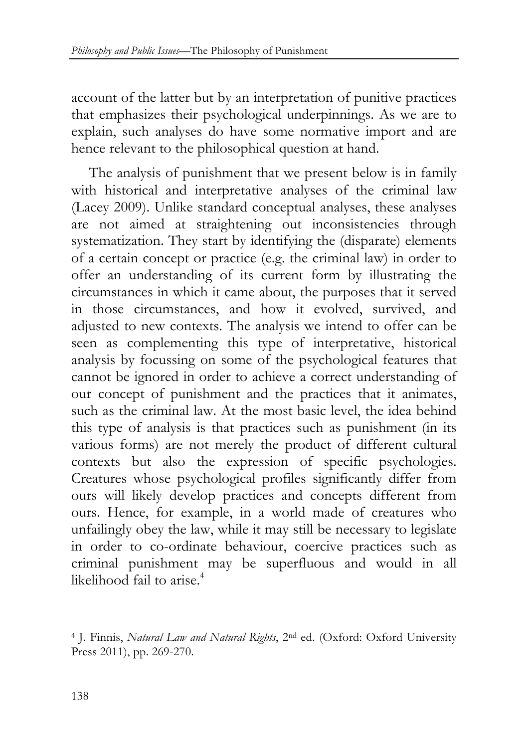account of the latter but by an interpretation of punitive practices that emphasizes their psychological underpinnings. As we are to explain, such analyses do have some normative import and are hence relevant to the philosophical question at hand.

The analysis of punishment that we present below is in family with historical and interpretative analyses of the criminal law (Lacey 2009). Unlike standard conceptual analyses, these analyses are not aimed at straightening out inconsistencies through systematization. They start by identifying the (disparate) elements of a certain concept or practice (e.g. the criminal law) in order to offer an understanding of its current form by illustrating the circumstances in which it came about, the purposes that it served in those circumstances, and how it evolved, survived, and adjusted to new contexts. The analysis we intend to offer can be seen as complementing this type of interpretative, historical analysis by focussing on some of the psychological features that cannot be ignored in order to achieve a correct understanding of our concept of punishment and the practices that it animates, such as the criminal law. At the most basic level, the idea behind this type of analysis is that practices such as punishment (in its various forms) are not merely the product of different cultural contexts but also the expression of specific psychologies. Creatures whose psychological profiles significantly differ from ours will likely develop practices and concepts different from ours. Hence, for example, in a world made of creatures who unfailingly obey the law, while it may still be necessary to legislate in order to co-ordinate behaviour, coercive practices such as criminal punishment may be superfluous and would in all likelihood fail to arise. 4

<sup>4</sup> J. Finnis, *Natural Law and Natural Rights*, 2nd ed. (Oxford: Oxford University Press 2011), pp. 269-270.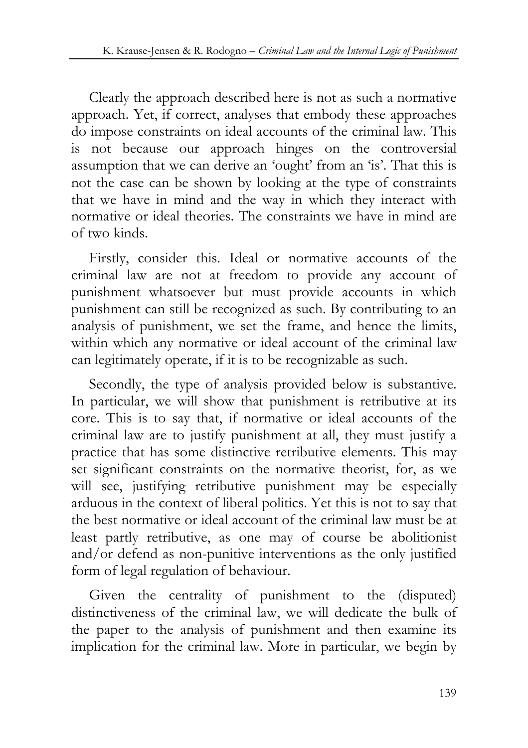Clearly the approach described here is not as such a normative approach. Yet, if correct, analyses that embody these approaches do impose constraints on ideal accounts of the criminal law. This is not because our approach hinges on the controversial assumption that we can derive an 'ought' from an 'is'. That this is not the case can be shown by looking at the type of constraints that we have in mind and the way in which they interact with normative or ideal theories. The constraints we have in mind are of two kinds.

Firstly, consider this. Ideal or normative accounts of the criminal law are not at freedom to provide any account of punishment whatsoever but must provide accounts in which punishment can still be recognized as such. By contributing to an analysis of punishment, we set the frame, and hence the limits, within which any normative or ideal account of the criminal law can legitimately operate, if it is to be recognizable as such.

Secondly, the type of analysis provided below is substantive. In particular, we will show that punishment is retributive at its core. This is to say that, if normative or ideal accounts of the criminal law are to justify punishment at all, they must justify a practice that has some distinctive retributive elements. This may set significant constraints on the normative theorist, for, as we will see, justifying retributive punishment may be especially arduous in the context of liberal politics. Yet this is not to say that the best normative or ideal account of the criminal law must be at least partly retributive, as one may of course be abolitionist and/or defend as non-punitive interventions as the only justified form of legal regulation of behaviour.

Given the centrality of punishment to the (disputed) distinctiveness of the criminal law, we will dedicate the bulk of the paper to the analysis of punishment and then examine its implication for the criminal law. More in particular, we begin by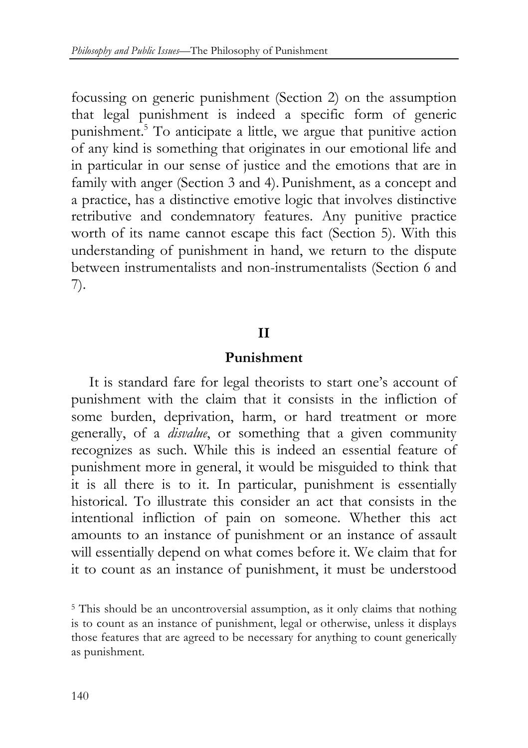focussing on generic punishment (Section 2) on the assumption that legal punishment is indeed a specific form of generic punishment.5 To anticipate a little, we argue that punitive action of any kind is something that originates in our emotional life and in particular in our sense of justice and the emotions that are in family with anger (Section 3 and 4). Punishment, as a concept and a practice, has a distinctive emotive logic that involves distinctive retributive and condemnatory features. Any punitive practice worth of its name cannot escape this fact (Section 5). With this understanding of punishment in hand, we return to the dispute between instrumentalists and non-instrumentalists (Section 6 and 7).

#### **II**

#### **Punishment**

It is standard fare for legal theorists to start one's account of punishment with the claim that it consists in the infliction of some burden, deprivation, harm, or hard treatment or more generally, of a *disvalue*, or something that a given community recognizes as such. While this is indeed an essential feature of punishment more in general, it would be misguided to think that it is all there is to it. In particular, punishment is essentially historical. To illustrate this consider an act that consists in the intentional infliction of pain on someone. Whether this act amounts to an instance of punishment or an instance of assault will essentially depend on what comes before it. We claim that for it to count as an instance of punishment, it must be understood

<sup>5</sup> This should be an uncontroversial assumption, as it only claims that nothing is to count as an instance of punishment, legal or otherwise, unless it displays those features that are agreed to be necessary for anything to count generically as punishment.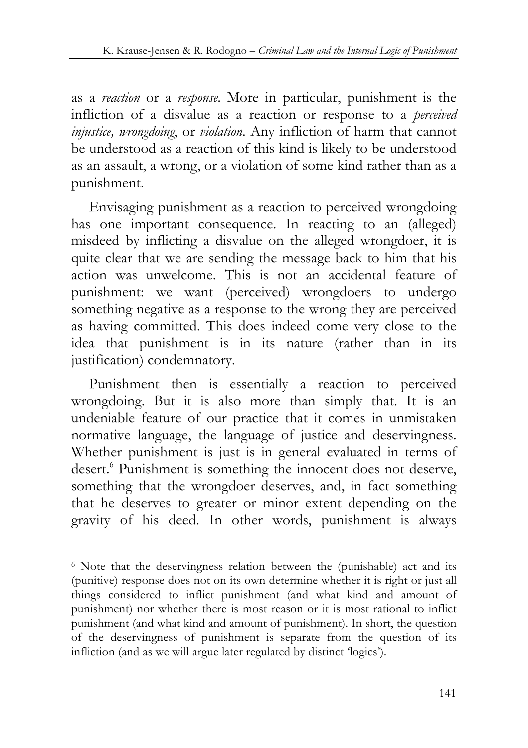as a *reaction* or a *response*. More in particular, punishment is the infliction of a disvalue as a reaction or response to a *perceived injustice, wrongdoing*, or *violation*. Any infliction of harm that cannot be understood as a reaction of this kind is likely to be understood as an assault, a wrong, or a violation of some kind rather than as a punishment.

Envisaging punishment as a reaction to perceived wrongdoing has one important consequence. In reacting to an (alleged) misdeed by inflicting a disvalue on the alleged wrongdoer, it is quite clear that we are sending the message back to him that his action was unwelcome. This is not an accidental feature of punishment: we want (perceived) wrongdoers to undergo something negative as a response to the wrong they are perceived as having committed. This does indeed come very close to the idea that punishment is in its nature (rather than in its justification) condemnatory.

Punishment then is essentially a reaction to perceived wrongdoing. But it is also more than simply that. It is an undeniable feature of our practice that it comes in unmistaken normative language, the language of justice and deservingness. Whether punishment is just is in general evaluated in terms of desert.<sup>6</sup> Punishment is something the innocent does not deserve, something that the wrongdoer deserves, and, in fact something that he deserves to greater or minor extent depending on the gravity of his deed. In other words, punishment is always

<sup>6</sup> Note that the deservingness relation between the (punishable) act and its (punitive) response does not on its own determine whether it is right or just all things considered to inflict punishment (and what kind and amount of punishment) nor whether there is most reason or it is most rational to inflict punishment (and what kind and amount of punishment). In short, the question of the deservingness of punishment is separate from the question of its infliction (and as we will argue later regulated by distinct 'logics').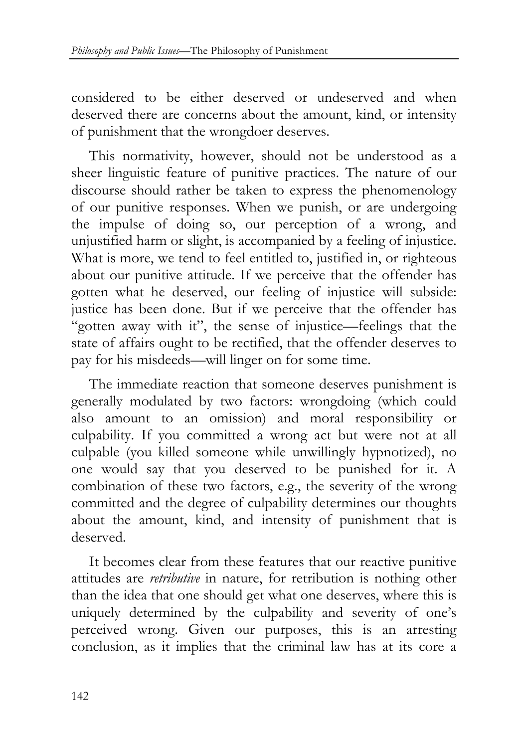considered to be either deserved or undeserved and when deserved there are concerns about the amount, kind, or intensity of punishment that the wrongdoer deserves.

This normativity, however, should not be understood as a sheer linguistic feature of punitive practices. The nature of our discourse should rather be taken to express the phenomenology of our punitive responses. When we punish, or are undergoing the impulse of doing so, our perception of a wrong, and unjustified harm or slight, is accompanied by a feeling of injustice. What is more, we tend to feel entitled to, justified in, or righteous about our punitive attitude. If we perceive that the offender has gotten what he deserved, our feeling of injustice will subside: justice has been done. But if we perceive that the offender has "gotten away with it", the sense of injustice—feelings that the state of affairs ought to be rectified, that the offender deserves to pay for his misdeeds—will linger on for some time.

The immediate reaction that someone deserves punishment is generally modulated by two factors: wrongdoing (which could also amount to an omission) and moral responsibility or culpability. If you committed a wrong act but were not at all culpable (you killed someone while unwillingly hypnotized), no one would say that you deserved to be punished for it. A combination of these two factors, e.g., the severity of the wrong committed and the degree of culpability determines our thoughts about the amount, kind, and intensity of punishment that is deserved.

It becomes clear from these features that our reactive punitive attitudes are *retributive* in nature, for retribution is nothing other than the idea that one should get what one deserves, where this is uniquely determined by the culpability and severity of one's perceived wrong. Given our purposes, this is an arresting conclusion, as it implies that the criminal law has at its core a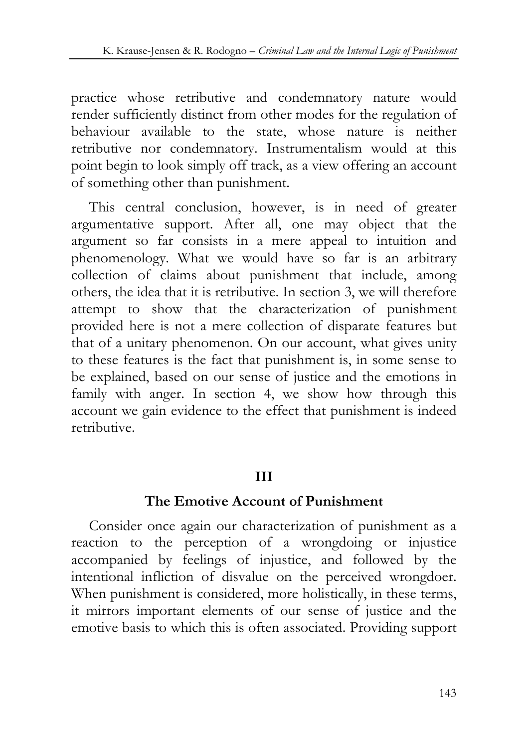practice whose retributive and condemnatory nature would render sufficiently distinct from other modes for the regulation of behaviour available to the state, whose nature is neither retributive nor condemnatory. Instrumentalism would at this point begin to look simply off track, as a view offering an account of something other than punishment.

This central conclusion, however, is in need of greater argumentative support. After all, one may object that the argument so far consists in a mere appeal to intuition and phenomenology. What we would have so far is an arbitrary collection of claims about punishment that include, among others, the idea that it is retributive. In section 3, we will therefore attempt to show that the characterization of punishment provided here is not a mere collection of disparate features but that of a unitary phenomenon. On our account, what gives unity to these features is the fact that punishment is, in some sense to be explained, based on our sense of justice and the emotions in family with anger. In section 4, we show how through this account we gain evidence to the effect that punishment is indeed retributive.

#### **III**

#### **The Emotive Account of Punishment**

Consider once again our characterization of punishment as a reaction to the perception of a wrongdoing or injustice accompanied by feelings of injustice, and followed by the intentional infliction of disvalue on the perceived wrongdoer. When punishment is considered, more holistically, in these terms, it mirrors important elements of our sense of justice and the emotive basis to which this is often associated. Providing support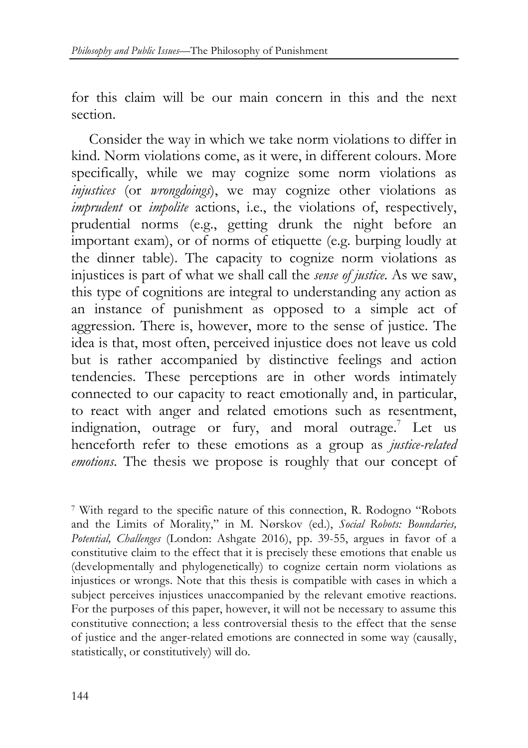for this claim will be our main concern in this and the next section.

Consider the way in which we take norm violations to differ in kind. Norm violations come, as it were, in different colours. More specifically, while we may cognize some norm violations as *injustices* (or *wrongdoings*), we may cognize other violations as *imprudent* or *impolite* actions, i.e., the violations of, respectively, prudential norms (e.g., getting drunk the night before an important exam), or of norms of etiquette (e.g. burping loudly at the dinner table). The capacity to cognize norm violations as injustices is part of what we shall call the *sense of justice*. As we saw, this type of cognitions are integral to understanding any action as an instance of punishment as opposed to a simple act of aggression. There is, however, more to the sense of justice. The idea is that, most often, perceived injustice does not leave us cold but is rather accompanied by distinctive feelings and action tendencies. These perceptions are in other words intimately connected to our capacity to react emotionally and, in particular, to react with anger and related emotions such as resentment, indignation, outrage or fury, and moral outrage.<sup>7</sup> Let us henceforth refer to these emotions as a group as *justice-related emotions*. The thesis we propose is roughly that our concept of

<sup>7</sup> With regard to the specific nature of this connection, R. Rodogno "Robots and the Limits of Morality," in M. Nørskov (ed.), *Social Robots: Boundaries, Potential, Challenges* (London: Ashgate 2016), pp. 39-55, argues in favor of a constitutive claim to the effect that it is precisely these emotions that enable us (developmentally and phylogenetically) to cognize certain norm violations as injustices or wrongs. Note that this thesis is compatible with cases in which a subject perceives injustices unaccompanied by the relevant emotive reactions. For the purposes of this paper, however, it will not be necessary to assume this constitutive connection; a less controversial thesis to the effect that the sense of justice and the anger-related emotions are connected in some way (causally, statistically, or constitutively) will do.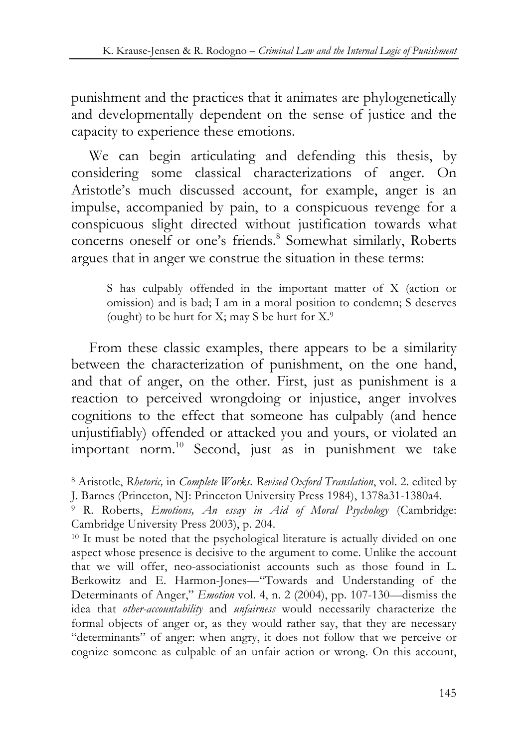punishment and the practices that it animates are phylogenetically and developmentally dependent on the sense of justice and the capacity to experience these emotions.

We can begin articulating and defending this thesis, by considering some classical characterizations of anger. On Aristotle's much discussed account, for example, anger is an impulse, accompanied by pain, to a conspicuous revenge for a conspicuous slight directed without justification towards what concerns oneself or one's friends.<sup>8</sup> Somewhat similarly, Roberts argues that in anger we construe the situation in these terms:

S has culpably offended in the important matter of X (action or omission) and is bad; I am in a moral position to condemn; S deserves (ought) to be hurt for X; may S be hurt for X.9

From these classic examples, there appears to be a similarity between the characterization of punishment, on the one hand, and that of anger, on the other. First, just as punishment is a reaction to perceived wrongdoing or injustice, anger involves cognitions to the effect that someone has culpably (and hence unjustifiably) offended or attacked you and yours, or violated an important norm.<sup>10</sup> Second, just as in punishment we take

<sup>10</sup> It must be noted that the psychological literature is actually divided on one aspect whose presence is decisive to the argument to come. Unlike the account that we will offer, neo-associationist accounts such as those found in L. Berkowitz and E. Harmon-Jones—"Towards and Understanding of the Determinants of Anger," *Emotion* vol. 4, n. 2 (2004), pp. 107-130*—*dismiss the idea that *other-accountability* and *unfairness* would necessarily characterize the formal objects of anger or, as they would rather say, that they are necessary "determinants" of anger: when angry, it does not follow that we perceive or cognize someone as culpable of an unfair action or wrong. On this account,

<sup>8</sup> Aristotle, *Rhetoric,* in *Complete Works. Revised Oxford Translation*, vol. 2. edited by J. Barnes (Princeton, NJ: Princeton University Press 1984), 1378a31-1380a4.

<sup>9</sup> R. Roberts, *Emotions, An essay in Aid of Moral Psychology* (Cambridge: Cambridge University Press 2003), p. 204.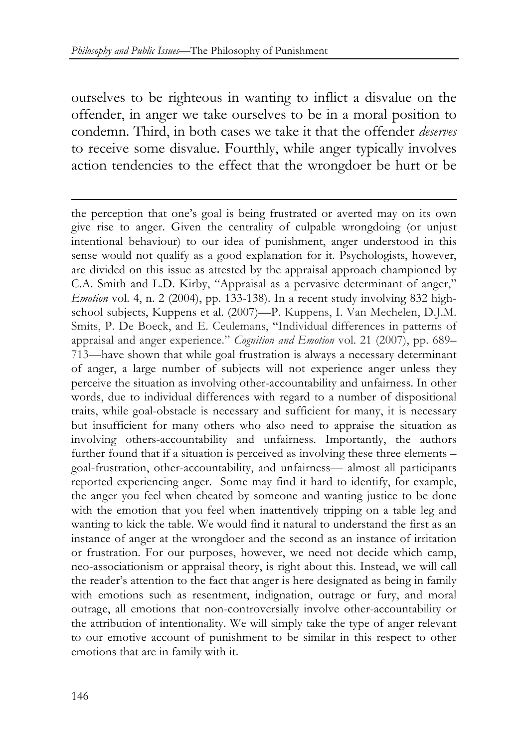ourselves to be righteous in wanting to inflict a disvalue on the offender, in anger we take ourselves to be in a moral position to condemn. Third, in both cases we take it that the offender *deserves* to receive some disvalue. Fourthly, while anger typically involves action tendencies to the effect that the wrongdoer be hurt or be

!!!!!!!!!!!!!!!!!!!!!!!!!!!!!!!!!!!!!!!!!!!!!!!!!!!!!!!!!!!!!!!!!!!!!!!!!!!!!!!!!!!!!!!!!!!!!!!!!!!!!!!!!!!!!!!!!!!!!!!!!!!!!

the perception that one's goal is being frustrated or averted may on its own give rise to anger. Given the centrality of culpable wrongdoing (or unjust intentional behaviour) to our idea of punishment, anger understood in this sense would not qualify as a good explanation for it. Psychologists, however, are divided on this issue as attested by the appraisal approach championed by C.A. Smith and L.D. Kirby, "Appraisal as a pervasive determinant of anger," *Emotion* vol. 4, n. 2 (2004), pp. 133-138). In a recent study involving 832 highschool subjects, Kuppens et al. (2007)—P. Kuppens, I. Van Mechelen, D.J.M. Smits, P. De Boeck, and E. Ceulemans, "Individual differences in patterns of appraisal and anger experience." *Cognition and Emotion* vol. 21 (2007), pp. 689– 713—have shown that while goal frustration is always a necessary determinant of anger, a large number of subjects will not experience anger unless they perceive the situation as involving other-accountability and unfairness. In other words, due to individual differences with regard to a number of dispositional traits, while goal-obstacle is necessary and sufficient for many, it is necessary but insufficient for many others who also need to appraise the situation as involving others-accountability and unfairness. Importantly, the authors further found that if a situation is perceived as involving these three elements – goal-frustration, other-accountability, and unfairness— almost all participants reported experiencing anger. Some may find it hard to identify, for example, the anger you feel when cheated by someone and wanting justice to be done with the emotion that you feel when inattentively tripping on a table leg and wanting to kick the table. We would find it natural to understand the first as an instance of anger at the wrongdoer and the second as an instance of irritation or frustration. For our purposes, however, we need not decide which camp, neo-associationism or appraisal theory, is right about this. Instead, we will call the reader's attention to the fact that anger is here designated as being in family with emotions such as resentment, indignation, outrage or fury, and moral outrage, all emotions that non-controversially involve other-accountability or the attribution of intentionality. We will simply take the type of anger relevant to our emotive account of punishment to be similar in this respect to other emotions that are in family with it.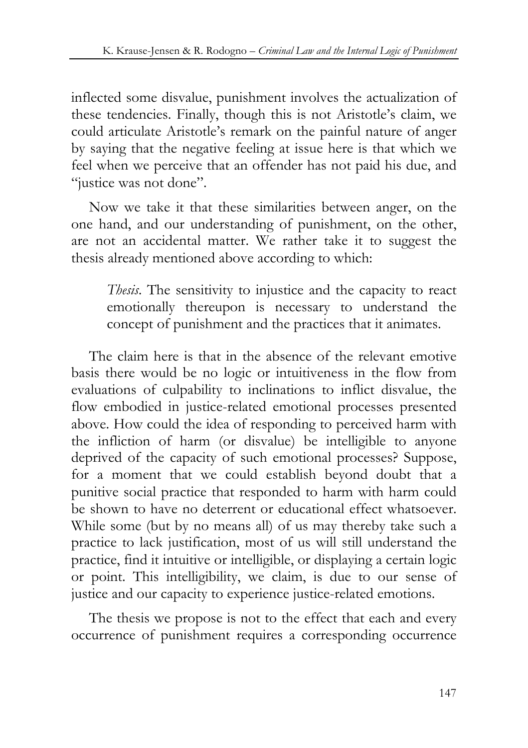inflected some disvalue, punishment involves the actualization of these tendencies. Finally, though this is not Aristotle's claim, we could articulate Aristotle's remark on the painful nature of anger by saying that the negative feeling at issue here is that which we feel when we perceive that an offender has not paid his due, and "justice was not done".

Now we take it that these similarities between anger, on the one hand, and our understanding of punishment, on the other, are not an accidental matter. We rather take it to suggest the thesis already mentioned above according to which:

*Thesis*. The sensitivity to injustice and the capacity to react emotionally thereupon is necessary to understand the concept of punishment and the practices that it animates.

The claim here is that in the absence of the relevant emotive basis there would be no logic or intuitiveness in the flow from evaluations of culpability to inclinations to inflict disvalue, the flow embodied in justice-related emotional processes presented above. How could the idea of responding to perceived harm with the infliction of harm (or disvalue) be intelligible to anyone deprived of the capacity of such emotional processes? Suppose, for a moment that we could establish beyond doubt that a punitive social practice that responded to harm with harm could be shown to have no deterrent or educational effect whatsoever. While some (but by no means all) of us may thereby take such a practice to lack justification, most of us will still understand the practice, find it intuitive or intelligible, or displaying a certain logic or point. This intelligibility, we claim, is due to our sense of justice and our capacity to experience justice-related emotions.

The thesis we propose is not to the effect that each and every occurrence of punishment requires a corresponding occurrence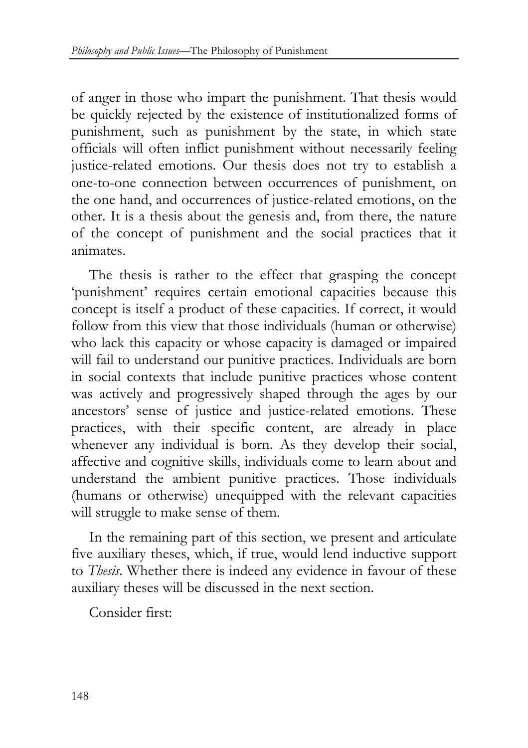of anger in those who impart the punishment. That thesis would be quickly rejected by the existence of institutionalized forms of punishment, such as punishment by the state, in which state officials will often inflict punishment without necessarily feeling justice-related emotions. Our thesis does not try to establish a one-to-one connection between occurrences of punishment, on the one hand, and occurrences of justice-related emotions, on the other. It is a thesis about the genesis and, from there, the nature of the concept of punishment and the social practices that it animates.

The thesis is rather to the effect that grasping the concept 'punishment' requires certain emotional capacities because this concept is itself a product of these capacities. If correct, it would follow from this view that those individuals (human or otherwise) who lack this capacity or whose capacity is damaged or impaired will fail to understand our punitive practices. Individuals are born in social contexts that include punitive practices whose content was actively and progressively shaped through the ages by our ancestors' sense of justice and justice-related emotions. These practices, with their specific content, are already in place whenever any individual is born. As they develop their social, affective and cognitive skills, individuals come to learn about and understand the ambient punitive practices. Those individuals (humans or otherwise) unequipped with the relevant capacities will struggle to make sense of them.

In the remaining part of this section, we present and articulate five auxiliary theses, which, if true, would lend inductive support to *Thesis*. Whether there is indeed any evidence in favour of these auxiliary theses will be discussed in the next section.

Consider first: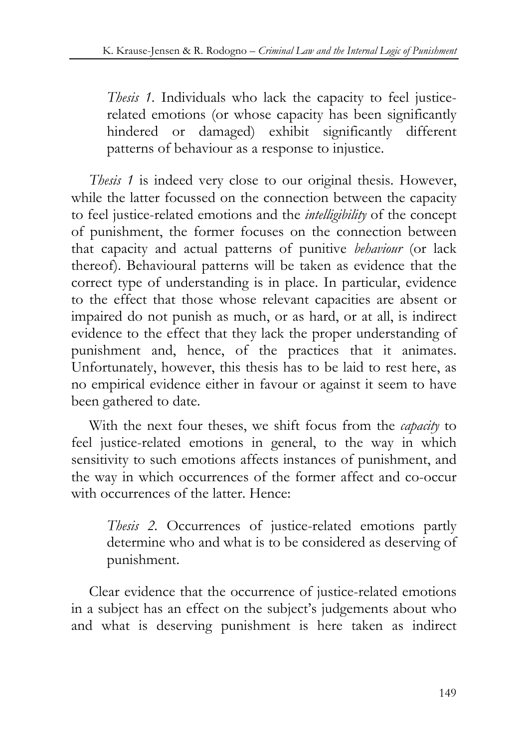*Thesis 1.* Individuals who lack the capacity to feel justicerelated emotions (or whose capacity has been significantly hindered or damaged) exhibit significantly different patterns of behaviour as a response to injustice.

*Thesis 1* is indeed very close to our original thesis. However, while the latter focussed on the connection between the capacity to feel justice-related emotions and the *intelligibility* of the concept of punishment, the former focuses on the connection between that capacity and actual patterns of punitive *behaviour* (or lack thereof). Behavioural patterns will be taken as evidence that the correct type of understanding is in place. In particular, evidence to the effect that those whose relevant capacities are absent or impaired do not punish as much, or as hard, or at all, is indirect evidence to the effect that they lack the proper understanding of punishment and, hence, of the practices that it animates. Unfortunately, however, this thesis has to be laid to rest here, as no empirical evidence either in favour or against it seem to have been gathered to date.

With the next four theses, we shift focus from the *capacity* to feel justice-related emotions in general, to the way in which sensitivity to such emotions affects instances of punishment, and the way in which occurrences of the former affect and co-occur with occurrences of the latter. Hence:

*Thesis 2.* Occurrences of justice-related emotions partly determine who and what is to be considered as deserving of punishment.

Clear evidence that the occurrence of justice-related emotions in a subject has an effect on the subject's judgements about who and what is deserving punishment is here taken as indirect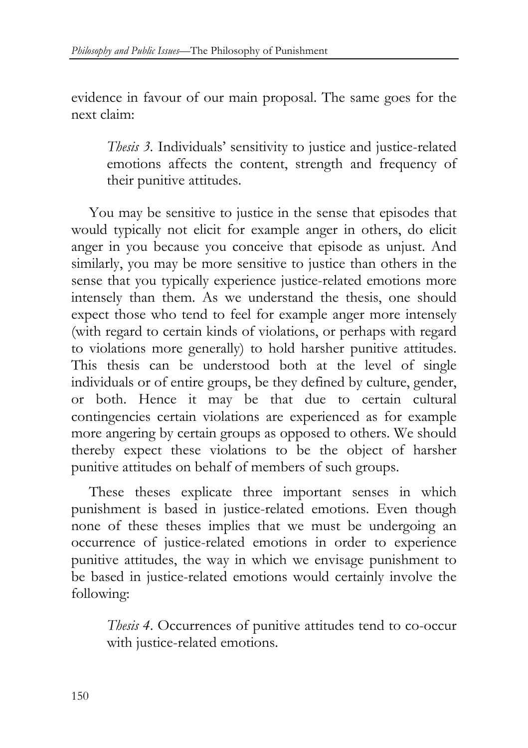evidence in favour of our main proposal. The same goes for the next claim:

*Thesis 3.* Individuals' sensitivity to justice and justice-related emotions affects the content, strength and frequency of their punitive attitudes.

You may be sensitive to justice in the sense that episodes that would typically not elicit for example anger in others, do elicit anger in you because you conceive that episode as unjust. And similarly, you may be more sensitive to justice than others in the sense that you typically experience justice-related emotions more intensely than them. As we understand the thesis, one should expect those who tend to feel for example anger more intensely (with regard to certain kinds of violations, or perhaps with regard to violations more generally) to hold harsher punitive attitudes. This thesis can be understood both at the level of single individuals or of entire groups, be they defined by culture, gender, or both. Hence it may be that due to certain cultural contingencies certain violations are experienced as for example more angering by certain groups as opposed to others. We should thereby expect these violations to be the object of harsher punitive attitudes on behalf of members of such groups.

These theses explicate three important senses in which punishment is based in justice-related emotions. Even though none of these theses implies that we must be undergoing an occurrence of justice-related emotions in order to experience punitive attitudes, the way in which we envisage punishment to be based in justice-related emotions would certainly involve the following:

*Thesis 4*. Occurrences of punitive attitudes tend to co-occur with justice-related emotions.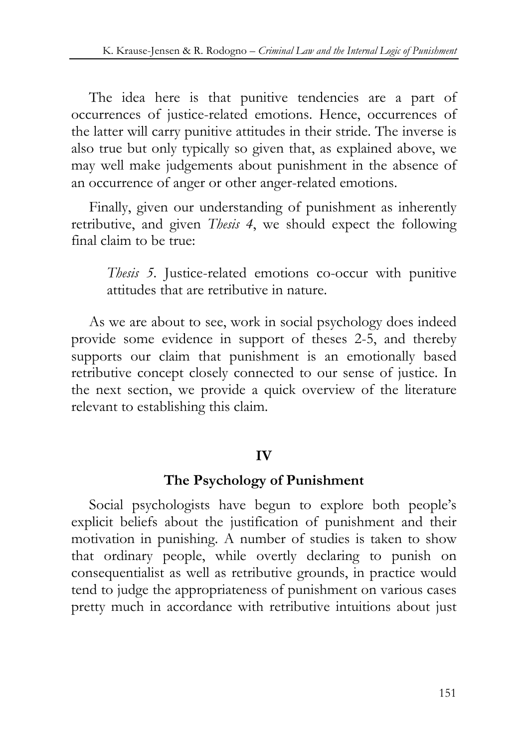The idea here is that punitive tendencies are a part of occurrences of justice-related emotions. Hence, occurrences of the latter will carry punitive attitudes in their stride. The inverse is also true but only typically so given that, as explained above, we may well make judgements about punishment in the absence of an occurrence of anger or other anger-related emotions.

Finally, given our understanding of punishment as inherently retributive, and given *Thesis 4*, we should expect the following final claim to be true:

*Thesis 5*. Justice-related emotions co-occur with punitive attitudes that are retributive in nature.

As we are about to see, work in social psychology does indeed provide some evidence in support of theses 2-5, and thereby supports our claim that punishment is an emotionally based retributive concept closely connected to our sense of justice. In the next section, we provide a quick overview of the literature relevant to establishing this claim.

#### **IV**

#### **The Psychology of Punishment**

Social psychologists have begun to explore both people's explicit beliefs about the justification of punishment and their motivation in punishing. A number of studies is taken to show that ordinary people, while overtly declaring to punish on consequentialist as well as retributive grounds, in practice would tend to judge the appropriateness of punishment on various cases pretty much in accordance with retributive intuitions about just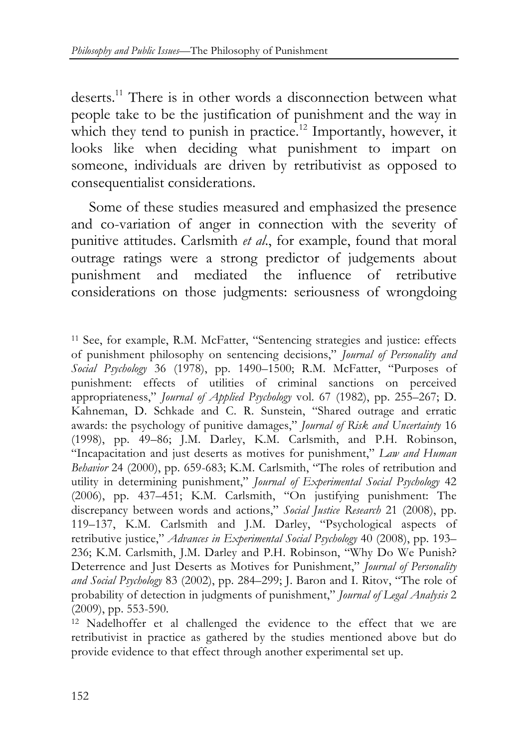deserts.<sup>11</sup> There is in other words a disconnection between what people take to be the justification of punishment and the way in which they tend to punish in practice.<sup>12</sup> Importantly, however, it looks like when deciding what punishment to impart on someone, individuals are driven by retributivist as opposed to consequentialist considerations.

Some of these studies measured and emphasized the presence and co-variation of anger in connection with the severity of punitive attitudes. Carlsmith *et al*., for example, found that moral outrage ratings were a strong predictor of judgements about punishment and mediated the influence of retributive considerations on those judgments: seriousness of wrongdoing

<sup>11</sup> See, for example, R.M. McFatter, "Sentencing strategies and justice: effects of punishment philosophy on sentencing decisions," *Journal of Personality and Social Psychology* 36 (1978), pp. 1490–1500; R.M. McFatter, "Purposes of punishment: effects of utilities of criminal sanctions on perceived appropriateness," *Journal of Applied Psychology* vol. 67 (1982), pp. 255–267; D. Kahneman, D. Schkade and C. R. Sunstein, "Shared outrage and erratic awards: the psychology of punitive damages," *Journal of Risk and Uncertainty* 16 (1998), pp. 49–86; J.M. Darley, K.M. Carlsmith, and P.H. Robinson, "Incapacitation and just deserts as motives for punishment," *Law and Human Behavior* 24 (2000), pp. 659-683; K.M. Carlsmith, "The roles of retribution and utility in determining punishment," *Journal of Experimental Social Psychology* 42 (2006), pp. 437–451; K.M. Carlsmith, "On justifying punishment: The discrepancy between words and actions," *Social Justice Research* 21 (2008), pp. 119–137, K.M. Carlsmith and J.M. Darley, "Psychological aspects of retributive justice," *Advances in Experimental Social Psychology* 40 (2008), pp. 193– 236; K.M. Carlsmith, J.M. Darley and P.H. Robinson, "Why Do We Punish? Deterrence and Just Deserts as Motives for Punishment," *Journal of Personality and Social Psychology* 83 (2002), pp. 284–299; J. Baron and I. Ritov, "The role of probability of detection in judgments of punishment," *Journal of Legal Analysis* 2 (2009), pp. 553-590.

<sup>12</sup> Nadelhoffer et al challenged the evidence to the effect that we are retributivist in practice as gathered by the studies mentioned above but do provide evidence to that effect through another experimental set up.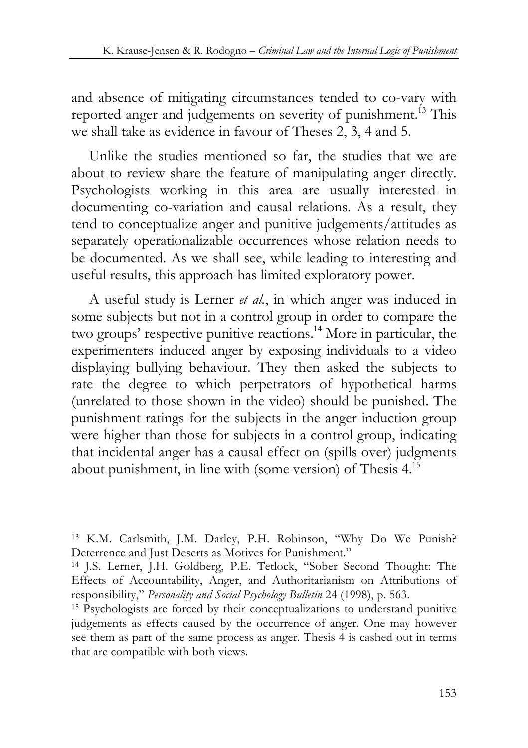and absence of mitigating circumstances tended to co-vary with reported anger and judgements on severity of punishment.<sup>13</sup> This we shall take as evidence in favour of Theses 2, 3, 4 and 5.

Unlike the studies mentioned so far, the studies that we are about to review share the feature of manipulating anger directly. Psychologists working in this area are usually interested in documenting co-variation and causal relations. As a result, they tend to conceptualize anger and punitive judgements/attitudes as separately operationalizable occurrences whose relation needs to be documented. As we shall see, while leading to interesting and useful results, this approach has limited exploratory power.

A useful study is Lerner *et al.*, in which anger was induced in some subjects but not in a control group in order to compare the two groups' respective punitive reactions.<sup>14</sup> More in particular, the experimenters induced anger by exposing individuals to a video displaying bullying behaviour. They then asked the subjects to rate the degree to which perpetrators of hypothetical harms (unrelated to those shown in the video) should be punished. The punishment ratings for the subjects in the anger induction group were higher than those for subjects in a control group, indicating that incidental anger has a causal effect on (spills over) judgments about punishment, in line with (some version) of Thesis 4.15

<sup>13</sup> K.M. Carlsmith, J.M. Darley, P.H. Robinson, "Why Do We Punish? Deterrence and Just Deserts as Motives for Punishment."

<sup>14</sup> J.S. Lerner, J.H. Goldberg, P.E. Tetlock, "Sober Second Thought: The Effects of Accountability, Anger, and Authoritarianism on Attributions of responsibility," *Personality and Social Psychology Bulletin* 24 (1998), p. 563.

<sup>15</sup> Psychologists are forced by their conceptualizations to understand punitive judgements as effects caused by the occurrence of anger. One may however see them as part of the same process as anger. Thesis 4 is cashed out in terms that are compatible with both views.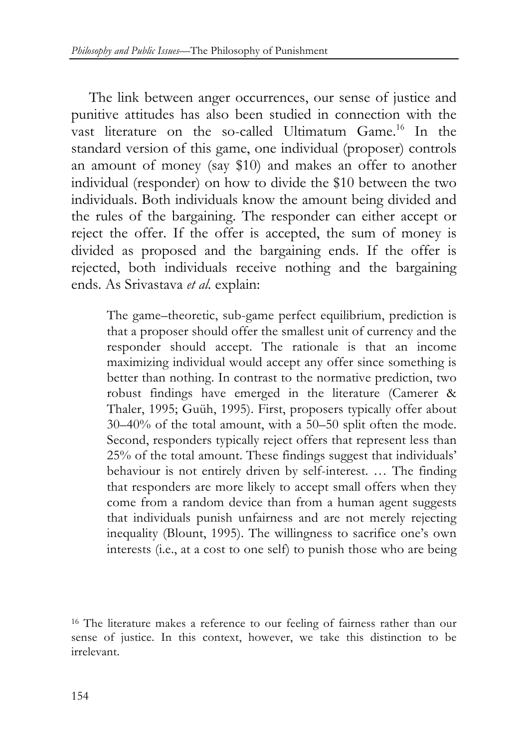The link between anger occurrences, our sense of justice and punitive attitudes has also been studied in connection with the vast literature on the so-called Ultimatum Game.16 In the standard version of this game, one individual (proposer) controls an amount of money (say \$10) and makes an offer to another individual (responder) on how to divide the \$10 between the two individuals. Both individuals know the amount being divided and the rules of the bargaining. The responder can either accept or reject the offer. If the offer is accepted, the sum of money is divided as proposed and the bargaining ends. If the offer is rejected, both individuals receive nothing and the bargaining ends. As Srivastava *et al.* explain:

The game–theoretic, sub-game perfect equilibrium, prediction is that a proposer should offer the smallest unit of currency and the responder should accept. The rationale is that an income maximizing individual would accept any offer since something is better than nothing. In contrast to the normative prediction, two robust findings have emerged in the literature (Camerer & Thaler, 1995; Guüh, 1995). First, proposers typically offer about 30–40% of the total amount, with a 50–50 split often the mode. Second, responders typically reject offers that represent less than 25% of the total amount. These findings suggest that individuals' behaviour is not entirely driven by self-interest. … The finding that responders are more likely to accept small offers when they come from a random device than from a human agent suggests that individuals punish unfairness and are not merely rejecting inequality (Blount, 1995). The willingness to sacrifice one's own interests (i.e., at a cost to one self) to punish those who are being

<sup>16</sup> The literature makes a reference to our feeling of fairness rather than our sense of justice. In this context, however, we take this distinction to be irrelevant.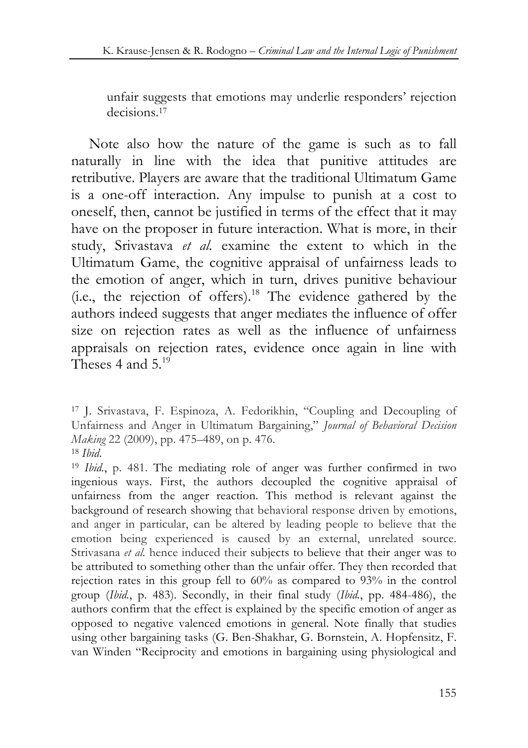unfair suggests that emotions may underlie responders' rejection decisions.<sup>17</sup>

Note also how the nature of the game is such as to fall naturally in line with the idea that punitive attitudes are retributive. Players are aware that the traditional Ultimatum Game is a one-off interaction. Any impulse to punish at a cost to oneself, then, cannot be justified in terms of the effect that it may have on the proposer in future interaction. What is more, in their study, Srivastava *et al.* examine the extent to which in the Ultimatum Game, the cognitive appraisal of unfairness leads to the emotion of anger, which in turn, drives punitive behaviour (i.e., the rejection of offers).18 The evidence gathered by the authors indeed suggests that anger mediates the influence of offer size on rejection rates as well as the influence of unfairness appraisals on rejection rates, evidence once again in line with Theses 4 and  $5^{19}$ 

<sup>17</sup> J. Srivastava, F. Espinoza, A. Fedorikhin, "Coupling and Decoupling of Unfairness and Anger in Ultimatum Bargaining," *Journal of Behavioral Decision Making* 22 (2009), pp. 475–489, on p. 476. <sup>18</sup> *Ibid*.

<sup>19</sup> *Ibid.*, p. 481. The mediating role of anger was further confirmed in two ingenious ways. First, the authors decoupled the cognitive appraisal of unfairness from the anger reaction. This method is relevant against the background of research showing that behavioral response driven by emotions, and anger in particular, can be altered by leading people to believe that the emotion being experienced is caused by an external, unrelated source. Strivasana *et al.* hence induced their subjects to believe that their anger was to be attributed to something other than the unfair offer. They then recorded that rejection rates in this group fell to 60% as compared to 93% in the control group (*Ibid.*, p. 483). Secondly, in their final study (*Ibid.*, pp. 484-486), the authors confirm that the effect is explained by the specific emotion of anger as opposed to negative valenced emotions in general. Note finally that studies using other bargaining tasks (G. Ben-Shakhar, G. Bornstein, A. Hopfensitz, F. van Winden "Reciprocity and emotions in bargaining using physiological and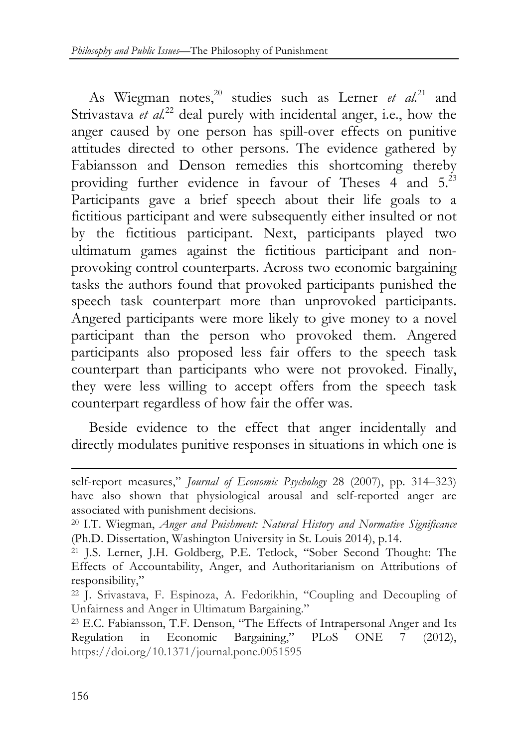As Wiegman notes,<sup>20</sup> studies such as Lerner *et al.*<sup>21</sup> and Strivastava *et al.*<sup>22</sup> deal purely with incidental anger, i.e., how the anger caused by one person has spill-over effects on punitive attitudes directed to other persons. The evidence gathered by Fabiansson and Denson remedies this shortcoming thereby providing further evidence in favour of Theses  $4$  and  $5^{23}$ Participants gave a brief speech about their life goals to a fictitious participant and were subsequently either insulted or not by the fictitious participant. Next, participants played two ultimatum games against the fictitious participant and nonprovoking control counterparts. Across two economic bargaining tasks the authors found that provoked participants punished the speech task counterpart more than unprovoked participants. Angered participants were more likely to give money to a novel participant than the person who provoked them. Angered participants also proposed less fair offers to the speech task counterpart than participants who were not provoked. Finally, they were less willing to accept offers from the speech task counterpart regardless of how fair the offer was.

Beside evidence to the effect that anger incidentally and directly modulates punitive responses in situations in which one is

!!!!!!!!!!!!!!!!!!!!!!!!!!!!!!!!!!!!!!!!!!!!!!!!!!!!!!!!!!!!!!!!!!!!!!!!!!!!!!!!!!!!!!!!!!!!!!!!!!!!!!!!!!!!!!!!!!!!!!!!!!!!!

self-report measures," *Journal of Economic Psychology* 28 (2007), pp. 314–323) have also shown that physiological arousal and self-reported anger are associated with punishment decisions.

<sup>20</sup> I.T. Wiegman, *Anger and Puishment: Natural History and Normative Significance* (Ph.D. Dissertation, Washington University in St. Louis 2014), p.14.

<sup>21</sup> J.S. Lerner, J.H. Goldberg, P.E. Tetlock, "Sober Second Thought: The Effects of Accountability, Anger, and Authoritarianism on Attributions of responsibility,"

<sup>22</sup> J. Srivastava, F. Espinoza, A. Fedorikhin, "Coupling and Decoupling of Unfairness and Anger in Ultimatum Bargaining."

<sup>23</sup> E.C. Fabiansson, T.F. Denson, "The Effects of Intrapersonal Anger and Its Regulation in Economic Bargaining," PLoS ONE 7 (2012), https://doi.org/10.1371/journal.pone.0051595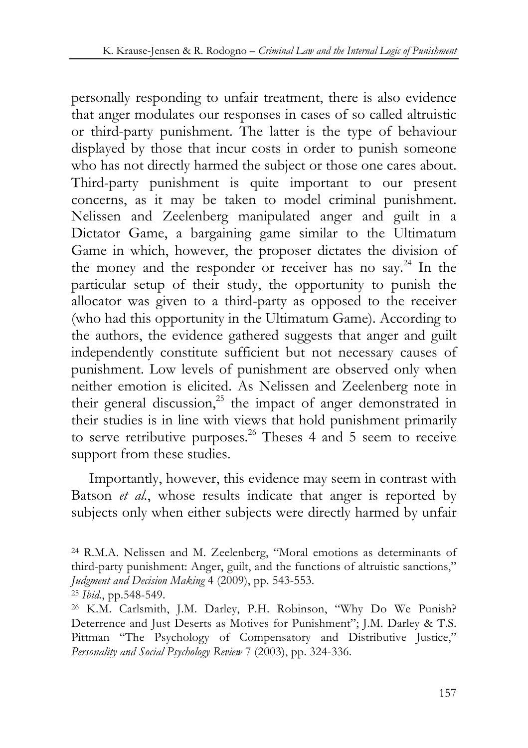personally responding to unfair treatment, there is also evidence that anger modulates our responses in cases of so called altruistic or third-party punishment. The latter is the type of behaviour displayed by those that incur costs in order to punish someone who has not directly harmed the subject or those one cares about. Third-party punishment is quite important to our present concerns, as it may be taken to model criminal punishment. Nelissen and Zeelenberg manipulated anger and guilt in a Dictator Game, a bargaining game similar to the Ultimatum Game in which, however, the proposer dictates the division of the money and the responder or receiver has no say.<sup>24</sup> In the particular setup of their study, the opportunity to punish the allocator was given to a third-party as opposed to the receiver (who had this opportunity in the Ultimatum Game). According to the authors, the evidence gathered suggests that anger and guilt independently constitute sufficient but not necessary causes of punishment. Low levels of punishment are observed only when neither emotion is elicited. As Nelissen and Zeelenberg note in their general discussion, $25$  the impact of anger demonstrated in their studies is in line with views that hold punishment primarily to serve retributive purposes. <sup>26</sup> Theses 4 and 5 seem to receive support from these studies.

Importantly, however, this evidence may seem in contrast with Batson *et al.*, whose results indicate that anger is reported by subjects only when either subjects were directly harmed by unfair

<sup>24</sup> R.M.A. Nelissen and M. Zeelenberg, "Moral emotions as determinants of third-party punishment: Anger, guilt, and the functions of altruistic sanctions," *Judgment and Decision Making* 4 (2009), pp. 543-553.

<sup>25</sup> *Ibid.*, pp.548-549.

<sup>26</sup> K.M. Carlsmith, J.M. Darley, P.H. Robinson, "Why Do We Punish? Deterrence and Just Deserts as Motives for Punishment"; J.M. Darley & T.S. Pittman "The Psychology of Compensatory and Distributive Justice," *Personality and Social Psychology Review* 7 (2003), pp. 324-336.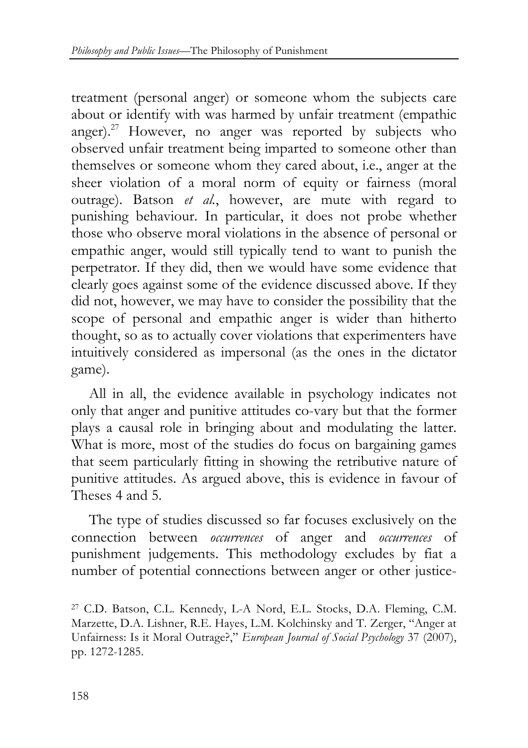treatment (personal anger) or someone whom the subjects care about or identify with was harmed by unfair treatment (empathic anger).<sup>27</sup> However, no anger was reported by subjects who observed unfair treatment being imparted to someone other than themselves or someone whom they cared about, i.e., anger at the sheer violation of a moral norm of equity or fairness (moral outrage). Batson *et al.*, however, are mute with regard to punishing behaviour. In particular, it does not probe whether those who observe moral violations in the absence of personal or empathic anger, would still typically tend to want to punish the perpetrator. If they did, then we would have some evidence that clearly goes against some of the evidence discussed above. If they did not, however, we may have to consider the possibility that the scope of personal and empathic anger is wider than hitherto thought, so as to actually cover violations that experimenters have intuitively considered as impersonal (as the ones in the dictator game).

All in all, the evidence available in psychology indicates not only that anger and punitive attitudes co-vary but that the former plays a causal role in bringing about and modulating the latter. What is more, most of the studies do focus on bargaining games that seem particularly fitting in showing the retributive nature of punitive attitudes. As argued above, this is evidence in favour of Theses 4 and 5.

The type of studies discussed so far focuses exclusively on the connection between *occurrences* of anger and *occurrences* of punishment judgements. This methodology excludes by fiat a number of potential connections between anger or other justice-

<sup>27</sup> C.D. Batson, C.L. Kennedy, L-A Nord, E.L. Stocks, D.A. Fleming, C.M. Marzette, D.A. Lishner, R.E. Hayes, L.M. Kolchinsky and T. Zerger, "Anger at Unfairness: Is it Moral Outrage?," *European Journal of Social Psychology* 37 (2007), pp. 1272-1285.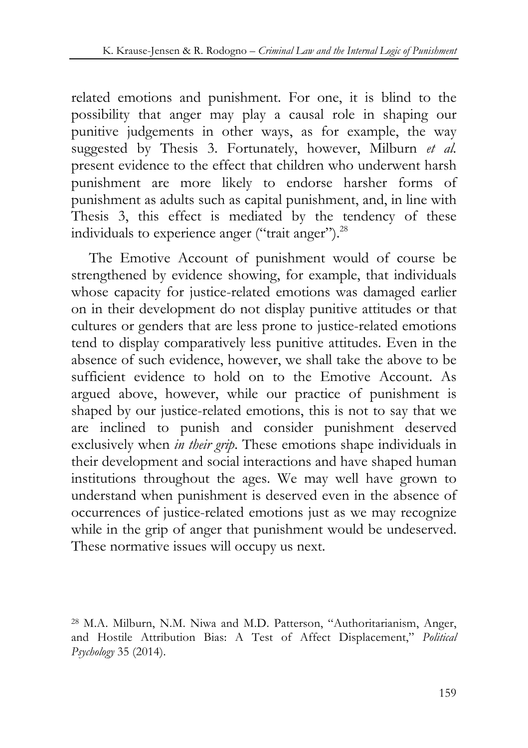related emotions and punishment. For one, it is blind to the possibility that anger may play a causal role in shaping our punitive judgements in other ways, as for example, the way suggested by Thesis 3. Fortunately, however, Milburn *et al.* present evidence to the effect that children who underwent harsh punishment are more likely to endorse harsher forms of punishment as adults such as capital punishment, and, in line with Thesis 3, this effect is mediated by the tendency of these individuals to experience anger ("trait anger").<sup>28</sup>

The Emotive Account of punishment would of course be strengthened by evidence showing, for example, that individuals whose capacity for justice-related emotions was damaged earlier on in their development do not display punitive attitudes or that cultures or genders that are less prone to justice-related emotions tend to display comparatively less punitive attitudes. Even in the absence of such evidence, however, we shall take the above to be sufficient evidence to hold on to the Emotive Account. As argued above, however, while our practice of punishment is shaped by our justice-related emotions, this is not to say that we are inclined to punish and consider punishment deserved exclusively when *in their grip*. These emotions shape individuals in their development and social interactions and have shaped human institutions throughout the ages. We may well have grown to understand when punishment is deserved even in the absence of occurrences of justice-related emotions just as we may recognize while in the grip of anger that punishment would be undeserved. These normative issues will occupy us next.

<sup>28</sup> M.A. Milburn, N.M. Niwa and M.D. Patterson, "Authoritarianism, Anger, and Hostile Attribution Bias: A Test of Affect Displacement," *Political Psychology* 35 (2014).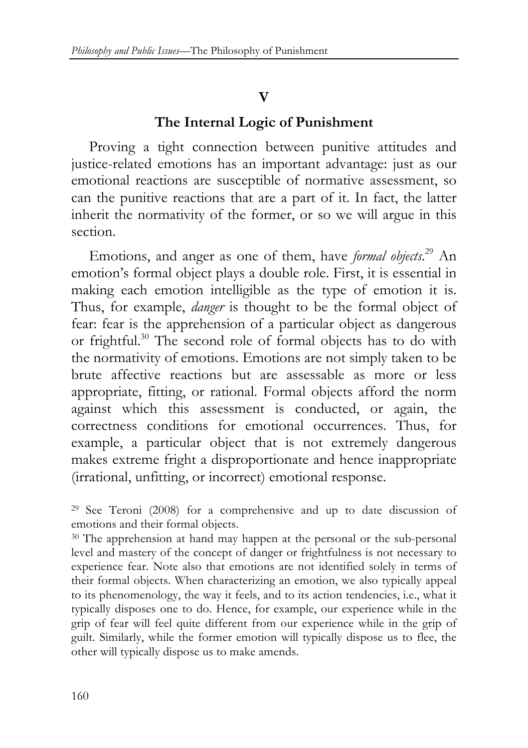#### **V**

#### **The Internal Logic of Punishment**

Proving a tight connection between punitive attitudes and justice-related emotions has an important advantage: just as our emotional reactions are susceptible of normative assessment, so can the punitive reactions that are a part of it. In fact, the latter inherit the normativity of the former, or so we will argue in this section.

Emotions, and anger as one of them, have *formal objects*. <sup>29</sup> An emotion's formal object plays a double role. First, it is essential in making each emotion intelligible as the type of emotion it is. Thus, for example, *danger* is thought to be the formal object of fear: fear is the apprehension of a particular object as dangerous or frightful.30 The second role of formal objects has to do with the normativity of emotions. Emotions are not simply taken to be brute affective reactions but are assessable as more or less appropriate, fitting, or rational. Formal objects afford the norm against which this assessment is conducted, or again, the correctness conditions for emotional occurrences. Thus, for example, a particular object that is not extremely dangerous makes extreme fright a disproportionate and hence inappropriate (irrational, unfitting, or incorrect) emotional response.

<sup>30</sup> The apprehension at hand may happen at the personal or the sub-personal level and mastery of the concept of danger or frightfulness is not necessary to experience fear. Note also that emotions are not identified solely in terms of their formal objects. When characterizing an emotion, we also typically appeal to its phenomenology, the way it feels, and to its action tendencies, i.e., what it typically disposes one to do. Hence, for example, our experience while in the grip of fear will feel quite different from our experience while in the grip of guilt. Similarly, while the former emotion will typically dispose us to flee, the other will typically dispose us to make amends.

<sup>29</sup> See Teroni (2008) for a comprehensive and up to date discussion of emotions and their formal objects.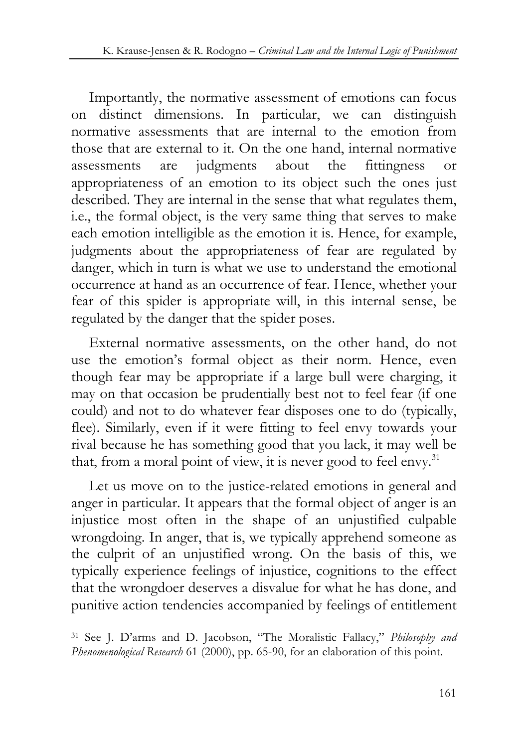Importantly, the normative assessment of emotions can focus on distinct dimensions. In particular, we can distinguish normative assessments that are internal to the emotion from those that are external to it. On the one hand, internal normative assessments are judgments about the fittingness or appropriateness of an emotion to its object such the ones just described. They are internal in the sense that what regulates them, i.e., the formal object, is the very same thing that serves to make each emotion intelligible as the emotion it is. Hence, for example, judgments about the appropriateness of fear are regulated by danger, which in turn is what we use to understand the emotional occurrence at hand as an occurrence of fear. Hence, whether your fear of this spider is appropriate will, in this internal sense, be regulated by the danger that the spider poses.

External normative assessments, on the other hand, do not use the emotion's formal object as their norm. Hence, even though fear may be appropriate if a large bull were charging, it may on that occasion be prudentially best not to feel fear (if one could) and not to do whatever fear disposes one to do (typically, flee). Similarly, even if it were fitting to feel envy towards your rival because he has something good that you lack, it may well be that, from a moral point of view, it is never good to feel envy.<sup>31</sup>

Let us move on to the justice-related emotions in general and anger in particular. It appears that the formal object of anger is an injustice most often in the shape of an unjustified culpable wrongdoing. In anger, that is, we typically apprehend someone as the culprit of an unjustified wrong. On the basis of this, we typically experience feelings of injustice, cognitions to the effect that the wrongdoer deserves a disvalue for what he has done, and punitive action tendencies accompanied by feelings of entitlement

<sup>31</sup> See J. D'arms and D. Jacobson, "The Moralistic Fallacy," *Philosophy and Phenomenological Research* 61 (2000), pp. 65-90, for an elaboration of this point.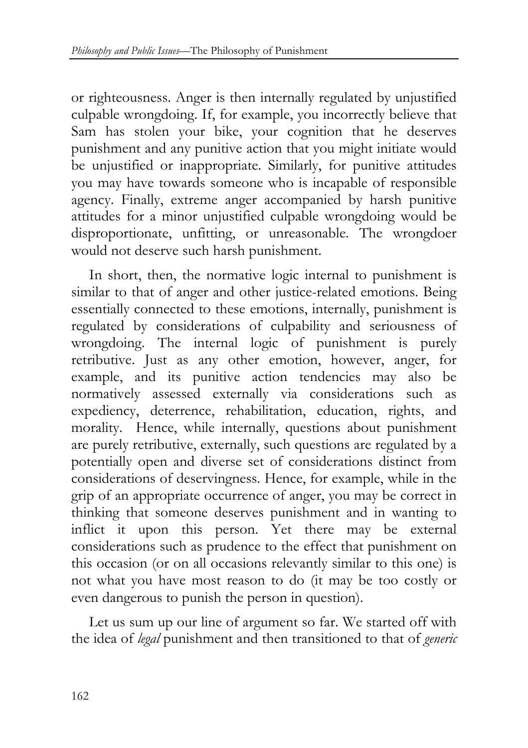or righteousness. Anger is then internally regulated by unjustified culpable wrongdoing. If, for example, you incorrectly believe that Sam has stolen your bike, your cognition that he deserves punishment and any punitive action that you might initiate would be unjustified or inappropriate. Similarly, for punitive attitudes you may have towards someone who is incapable of responsible agency. Finally, extreme anger accompanied by harsh punitive attitudes for a minor unjustified culpable wrongdoing would be disproportionate, unfitting, or unreasonable. The wrongdoer would not deserve such harsh punishment.

In short, then, the normative logic internal to punishment is similar to that of anger and other justice-related emotions. Being essentially connected to these emotions, internally, punishment is regulated by considerations of culpability and seriousness of wrongdoing. The internal logic of punishment is purely retributive. Just as any other emotion, however, anger, for example, and its punitive action tendencies may also be normatively assessed externally via considerations such as expediency, deterrence, rehabilitation, education, rights, and morality. Hence, while internally, questions about punishment are purely retributive, externally, such questions are regulated by a potentially open and diverse set of considerations distinct from considerations of deservingness. Hence, for example, while in the grip of an appropriate occurrence of anger, you may be correct in thinking that someone deserves punishment and in wanting to inflict it upon this person. Yet there may be external considerations such as prudence to the effect that punishment on this occasion (or on all occasions relevantly similar to this one) is not what you have most reason to do (it may be too costly or even dangerous to punish the person in question).

Let us sum up our line of argument so far. We started off with the idea of *legal* punishment and then transitioned to that of *generic*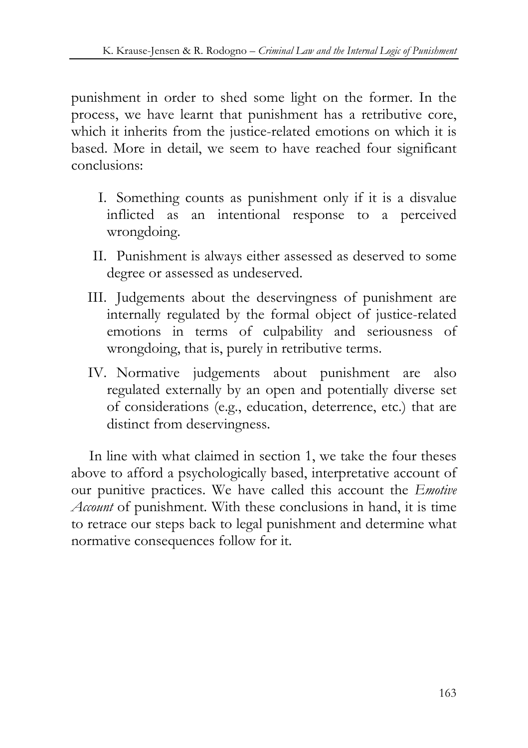punishment in order to shed some light on the former. In the process, we have learnt that punishment has a retributive core, which it inherits from the justice-related emotions on which it is based. More in detail, we seem to have reached four significant conclusions:

- I. Something counts as punishment only if it is a disvalue inflicted as an intentional response to a perceived wrongdoing.
- II. Punishment is always either assessed as deserved to some degree or assessed as undeserved.
- III. Judgements about the deservingness of punishment are internally regulated by the formal object of justice-related emotions in terms of culpability and seriousness of wrongdoing, that is, purely in retributive terms.
- IV. Normative judgements about punishment are also regulated externally by an open and potentially diverse set of considerations (e.g., education, deterrence, etc.) that are distinct from deservingness.

In line with what claimed in section 1, we take the four theses above to afford a psychologically based, interpretative account of our punitive practices. We have called this account the *Emotive Account* of punishment. With these conclusions in hand, it is time to retrace our steps back to legal punishment and determine what normative consequences follow for it.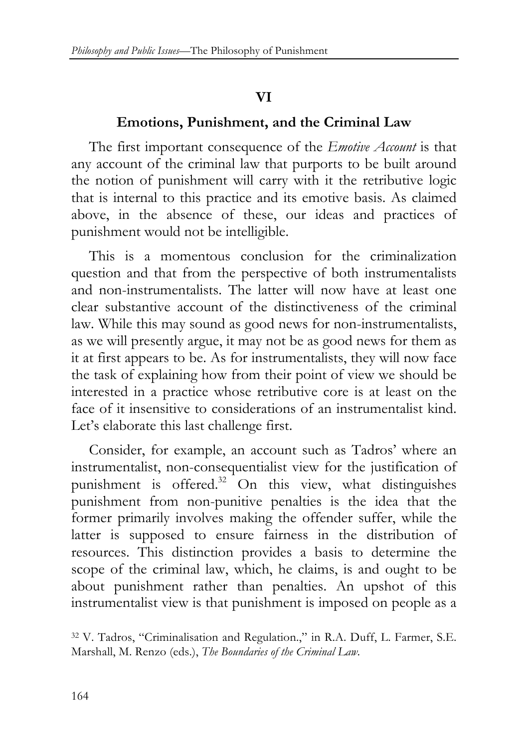#### **VI**

#### **Emotions, Punishment, and the Criminal Law**

The first important consequence of the *Emotive Account* is that any account of the criminal law that purports to be built around the notion of punishment will carry with it the retributive logic that is internal to this practice and its emotive basis. As claimed above, in the absence of these, our ideas and practices of punishment would not be intelligible.

This is a momentous conclusion for the criminalization question and that from the perspective of both instrumentalists and non-instrumentalists. The latter will now have at least one clear substantive account of the distinctiveness of the criminal law. While this may sound as good news for non-instrumentalists, as we will presently argue, it may not be as good news for them as it at first appears to be. As for instrumentalists, they will now face the task of explaining how from their point of view we should be interested in a practice whose retributive core is at least on the face of it insensitive to considerations of an instrumentalist kind. Let's elaborate this last challenge first.

Consider, for example, an account such as Tadros' where an instrumentalist, non-consequentialist view for the justification of punishment is offered.32 On this view, what distinguishes punishment from non-punitive penalties is the idea that the former primarily involves making the offender suffer, while the latter is supposed to ensure fairness in the distribution of resources. This distinction provides a basis to determine the scope of the criminal law, which, he claims, is and ought to be about punishment rather than penalties. An upshot of this instrumentalist view is that punishment is imposed on people as a

<sup>32</sup> V. Tadros, "Criminalisation and Regulation.," in R.A. Duff, L. Farmer, S.E. Marshall, M. Renzo (eds.), *The Boundaries of the Criminal Law.*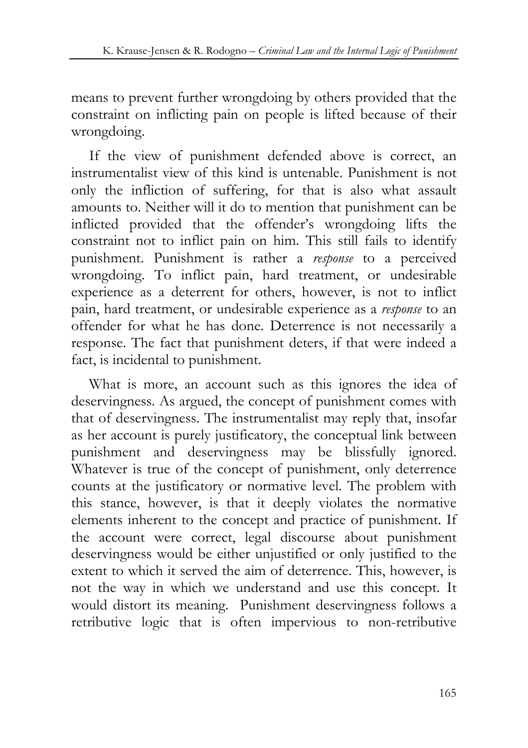means to prevent further wrongdoing by others provided that the constraint on inflicting pain on people is lifted because of their wrongdoing.

If the view of punishment defended above is correct, an instrumentalist view of this kind is untenable. Punishment is not only the infliction of suffering, for that is also what assault amounts to. Neither will it do to mention that punishment can be inflicted provided that the offender's wrongdoing lifts the constraint not to inflict pain on him. This still fails to identify punishment. Punishment is rather a *response* to a perceived wrongdoing. To inflict pain, hard treatment, or undesirable experience as a deterrent for others, however, is not to inflict pain, hard treatment, or undesirable experience as a *response* to an offender for what he has done. Deterrence is not necessarily a response. The fact that punishment deters, if that were indeed a fact, is incidental to punishment.

What is more, an account such as this ignores the idea of deservingness. As argued, the concept of punishment comes with that of deservingness. The instrumentalist may reply that, insofar as her account is purely justificatory, the conceptual link between punishment and deservingness may be blissfully ignored. Whatever is true of the concept of punishment, only deterrence counts at the justificatory or normative level. The problem with this stance, however, is that it deeply violates the normative elements inherent to the concept and practice of punishment. If the account were correct, legal discourse about punishment deservingness would be either unjustified or only justified to the extent to which it served the aim of deterrence. This, however, is not the way in which we understand and use this concept. It would distort its meaning. Punishment deservingness follows a retributive logic that is often impervious to non-retributive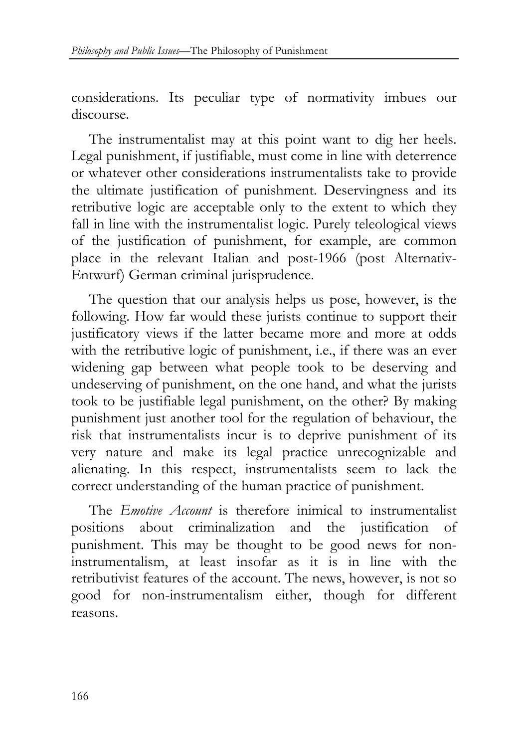considerations. Its peculiar type of normativity imbues our discourse.

The instrumentalist may at this point want to dig her heels. Legal punishment, if justifiable, must come in line with deterrence or whatever other considerations instrumentalists take to provide the ultimate justification of punishment. Deservingness and its retributive logic are acceptable only to the extent to which they fall in line with the instrumentalist logic. Purely teleological views of the justification of punishment, for example, are common place in the relevant Italian and post-1966 (post Alternativ-Entwurf) German criminal jurisprudence.

The question that our analysis helps us pose, however, is the following. How far would these jurists continue to support their justificatory views if the latter became more and more at odds with the retributive logic of punishment, i.e., if there was an ever widening gap between what people took to be deserving and undeserving of punishment, on the one hand, and what the jurists took to be justifiable legal punishment, on the other? By making punishment just another tool for the regulation of behaviour, the risk that instrumentalists incur is to deprive punishment of its very nature and make its legal practice unrecognizable and alienating. In this respect, instrumentalists seem to lack the correct understanding of the human practice of punishment.

The *Emotive Account* is therefore inimical to instrumentalist positions about criminalization and the justification of punishment. This may be thought to be good news for noninstrumentalism, at least insofar as it is in line with the retributivist features of the account. The news, however, is not so good for non-instrumentalism either, though for different reasons.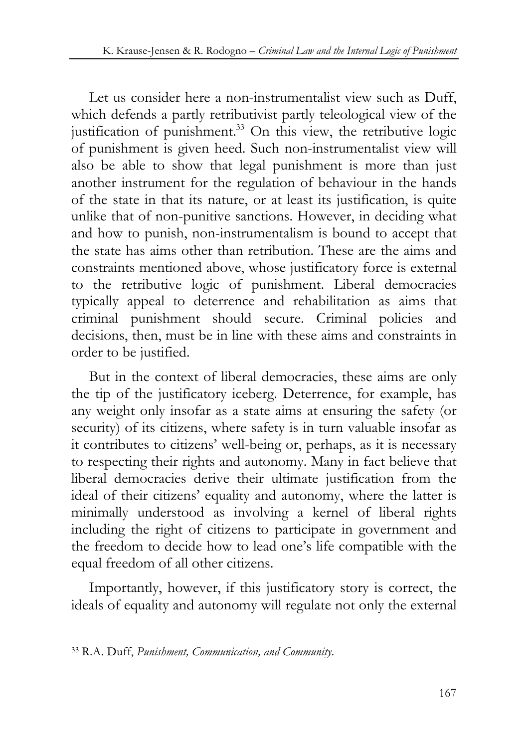Let us consider here a non-instrumentalist view such as Duff, which defends a partly retributivist partly teleological view of the justification of punishment.<sup>33</sup> On this view, the retributive logic of punishment is given heed. Such non-instrumentalist view will also be able to show that legal punishment is more than just another instrument for the regulation of behaviour in the hands of the state in that its nature, or at least its justification, is quite unlike that of non-punitive sanctions. However, in deciding what and how to punish, non-instrumentalism is bound to accept that the state has aims other than retribution. These are the aims and constraints mentioned above, whose justificatory force is external to the retributive logic of punishment. Liberal democracies typically appeal to deterrence and rehabilitation as aims that criminal punishment should secure. Criminal policies and decisions, then, must be in line with these aims and constraints in order to be justified.

But in the context of liberal democracies, these aims are only the tip of the justificatory iceberg. Deterrence, for example, has any weight only insofar as a state aims at ensuring the safety (or security) of its citizens, where safety is in turn valuable insofar as it contributes to citizens' well-being or, perhaps, as it is necessary to respecting their rights and autonomy. Many in fact believe that liberal democracies derive their ultimate justification from the ideal of their citizens' equality and autonomy, where the latter is minimally understood as involving a kernel of liberal rights including the right of citizens to participate in government and the freedom to decide how to lead one's life compatible with the equal freedom of all other citizens.

Importantly, however, if this justificatory story is correct, the ideals of equality and autonomy will regulate not only the external

<sup>33</sup> R.A. Duff, *Punishment, Communication, and Community*.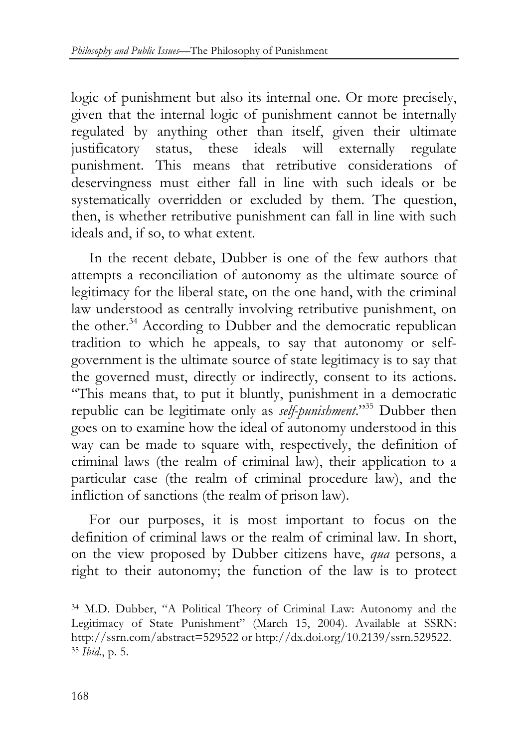logic of punishment but also its internal one. Or more precisely, given that the internal logic of punishment cannot be internally regulated by anything other than itself, given their ultimate justificatory status, these ideals will externally regulate punishment. This means that retributive considerations of deservingness must either fall in line with such ideals or be systematically overridden or excluded by them. The question, then, is whether retributive punishment can fall in line with such ideals and, if so, to what extent.

In the recent debate, Dubber is one of the few authors that attempts a reconciliation of autonomy as the ultimate source of legitimacy for the liberal state, on the one hand, with the criminal law understood as centrally involving retributive punishment, on the other.<sup>34</sup> According to Dubber and the democratic republican tradition to which he appeals, to say that autonomy or selfgovernment is the ultimate source of state legitimacy is to say that the governed must, directly or indirectly, consent to its actions. "This means that, to put it bluntly, punishment in a democratic republic can be legitimate only as *self-punishment*."35 Dubber then goes on to examine how the ideal of autonomy understood in this way can be made to square with, respectively, the definition of criminal laws (the realm of criminal law), their application to a particular case (the realm of criminal procedure law), and the infliction of sanctions (the realm of prison law).

For our purposes, it is most important to focus on the definition of criminal laws or the realm of criminal law. In short, on the view proposed by Dubber citizens have, *qua* persons, a right to their autonomy; the function of the law is to protect

<sup>34</sup> M.D. Dubber, "A Political Theory of Criminal Law: Autonomy and the Legitimacy of State Punishment" (March 15, 2004). Available at SSRN: http://ssrn.com/abstract=529522 or http://dx.doi.org/10.2139/ssrn.529522. <sup>35</sup> *Ibid.*, p. 5.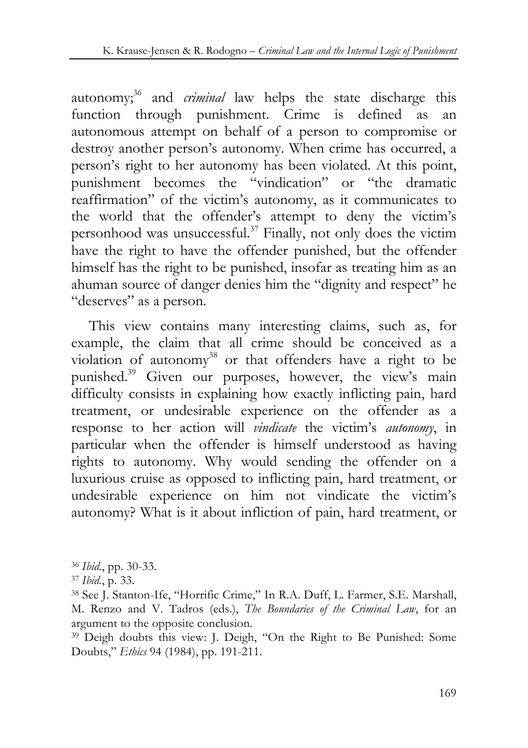autonomy;<sup>36</sup> and *criminal* law helps the state discharge this function through punishment. Crime is defined as an autonomous attempt on behalf of a person to compromise or destroy another person's autonomy. When crime has occurred, a person's right to her autonomy has been violated. At this point, punishment becomes the "vindication" or "the dramatic reaffirmation" of the victim's autonomy, as it communicates to the world that the offender's attempt to deny the victim's personhood was unsuccessful. $^{37}$  Finally, not only does the victim have the right to have the offender punished, but the offender himself has the right to be punished, insofar as treating him as an ahuman source of danger denies him the "dignity and respect" he "deserves" as a person.

This view contains many interesting claims, such as, for example, the claim that all crime should be conceived as a violation of autonomy<sup>38</sup> or that offenders have a right to be punished.39 Given our purposes, however, the view's main difficulty consists in explaining how exactly inflicting pain, hard treatment, or undesirable experience on the offender as a response to her action will *vindicate* the victim's *autonomy*, in particular when the offender is himself understood as having rights to autonomy. Why would sending the offender on a luxurious cruise as opposed to inflicting pain, hard treatment, or undesirable experience on him not vindicate the victim's autonomy? What is it about infliction of pain, hard treatment, or

<sup>39</sup> Deigh doubts this view: J. Deigh, "On the Right to Be Punished: Some Doubts," *Ethics* 94 (1984), pp. 191-211.

<sup>36</sup> *Ibid.*, pp. 30-33.

<sup>37</sup> *Ibid.*, p. 33.

<sup>38</sup> See J. Stanton-Ife, "Horrific Crime," In R.A. Duff, L. Farmer, S.E. Marshall, M. Renzo and V. Tadros (eds.), *The Boundaries of the Criminal Law*, for an argument to the opposite conclusion.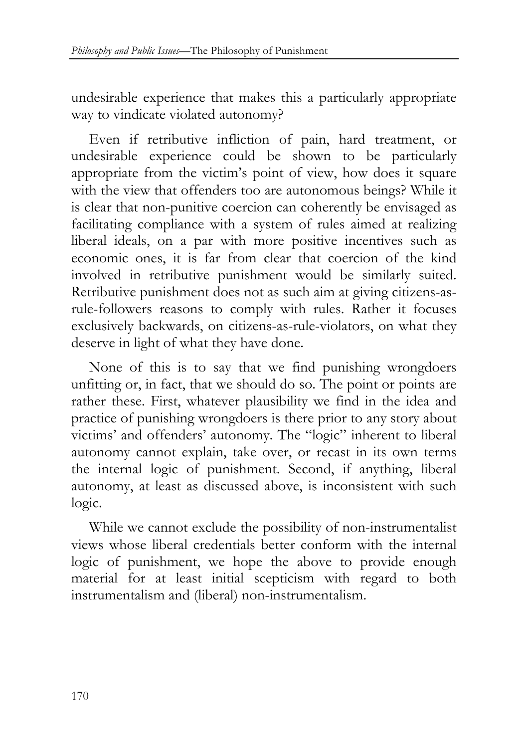undesirable experience that makes this a particularly appropriate way to vindicate violated autonomy?

Even if retributive infliction of pain, hard treatment, or undesirable experience could be shown to be particularly appropriate from the victim's point of view, how does it square with the view that offenders too are autonomous beings? While it is clear that non-punitive coercion can coherently be envisaged as facilitating compliance with a system of rules aimed at realizing liberal ideals, on a par with more positive incentives such as economic ones, it is far from clear that coercion of the kind involved in retributive punishment would be similarly suited. Retributive punishment does not as such aim at giving citizens-asrule-followers reasons to comply with rules. Rather it focuses exclusively backwards, on citizens-as-rule-violators, on what they deserve in light of what they have done.

None of this is to say that we find punishing wrongdoers unfitting or, in fact, that we should do so. The point or points are rather these. First, whatever plausibility we find in the idea and practice of punishing wrongdoers is there prior to any story about victims' and offenders' autonomy. The "logic" inherent to liberal autonomy cannot explain, take over, or recast in its own terms the internal logic of punishment. Second, if anything, liberal autonomy, at least as discussed above, is inconsistent with such logic.

While we cannot exclude the possibility of non-instrumentalist views whose liberal credentials better conform with the internal logic of punishment, we hope the above to provide enough material for at least initial scepticism with regard to both instrumentalism and (liberal) non-instrumentalism.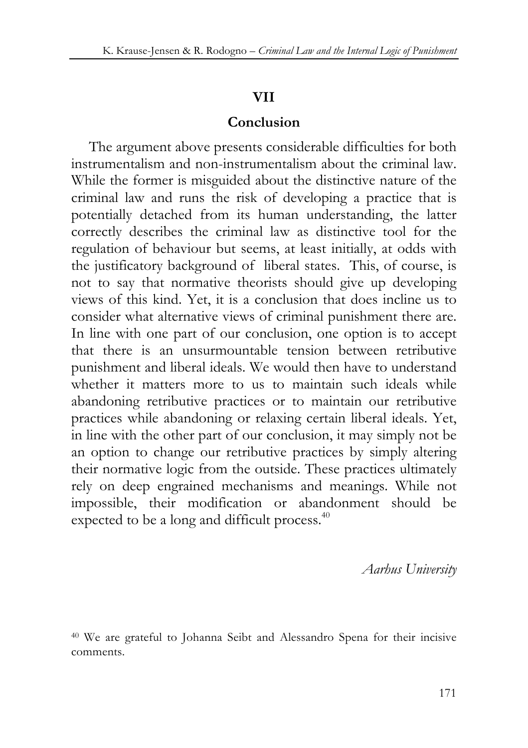#### **VII**

#### **Conclusion**

The argument above presents considerable difficulties for both instrumentalism and non-instrumentalism about the criminal law. While the former is misguided about the distinctive nature of the criminal law and runs the risk of developing a practice that is potentially detached from its human understanding, the latter correctly describes the criminal law as distinctive tool for the regulation of behaviour but seems, at least initially, at odds with the justificatory background of liberal states. This, of course, is not to say that normative theorists should give up developing views of this kind. Yet, it is a conclusion that does incline us to consider what alternative views of criminal punishment there are. In line with one part of our conclusion, one option is to accept that there is an unsurmountable tension between retributive punishment and liberal ideals. We would then have to understand whether it matters more to us to maintain such ideals while abandoning retributive practices or to maintain our retributive practices while abandoning or relaxing certain liberal ideals. Yet, in line with the other part of our conclusion, it may simply not be an option to change our retributive practices by simply altering their normative logic from the outside. These practices ultimately rely on deep engrained mechanisms and meanings. While not impossible, their modification or abandonment should be expected to be a long and difficult process.<sup>40</sup>

*Aarhus University* 

<sup>40</sup> We are grateful to Johanna Seibt and Alessandro Spena for their incisive comments.